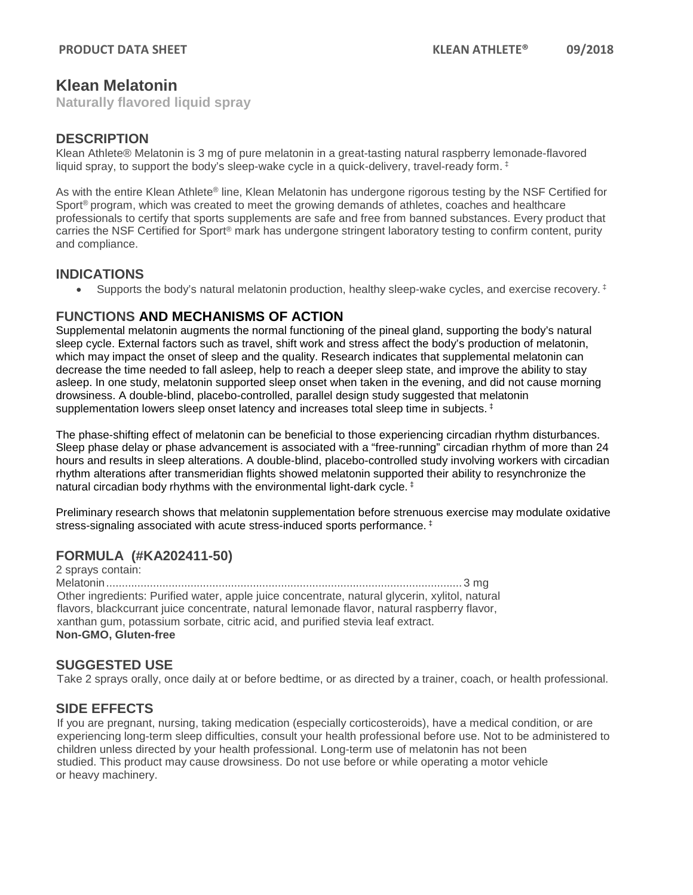# **Klean Melatonin**

**Naturally flavored liquid spray**

### **DESCRIPTION**

Klean Athlete® Melatonin is 3 mg of pure melatonin in a great-tasting natural raspberry lemonade-flavored liquid spray, to support the body's sleep-wake cycle in a quick-delivery, travel-ready form.  $\pm$ 

As with the entire Klean Athlete® line, Klean Melatonin has undergone rigorous testing by the NSF Certified for Sport<sup>®</sup> program, which was created to meet the growing demands of athletes, coaches and healthcare professionals to certify that sports supplements are safe and free from banned substances. Every product that carries the NSF Certified for Sport<sup>®</sup> mark has undergone stringent laboratory testing to confirm content, purity and compliance.

#### **INDICATIONS**

• Supports the body's natural melatonin production, healthy sleep-wake cycles, and exercise recovery.  $\pm$ 

# **FUNCTIONS AND MECHANISMS OF ACTION**

Supplemental melatonin augments the normal functioning of the pineal gland, supporting the body's natural sleep cycle. External factors such as travel, shift work and stress affect the body's production of melatonin, which may impact the onset of sleep and the quality. Research indicates that supplemental melatonin can decrease the time needed to fall asleep, help to reach a deeper sleep state, and improve the ability to stay asleep. In one study, melatonin supported sleep onset when taken in the evening, and did not cause morning drowsiness. A double-blind, placebo-controlled, parallel design study suggested that melatonin supplementation lowers sleep onset latency and increases total sleep time in subjects.  $\ddagger$ 

The phase-shifting effect of melatonin can be beneficial to those experiencing circadian rhythm disturbances. Sleep phase delay or phase advancement is associated with a "free-running" circadian rhythm of more than 24 hours and results in sleep alterations. A double-blind, placebo-controlled study involving workers with circadian rhythm alterations after transmeridian flights showed melatonin supported their ability to resynchronize the natural circadian body rhythms with the environmental light-dark cycle. ‡

Preliminary research shows that melatonin supplementation before strenuous exercise may modulate oxidative stress-signaling associated with acute stress-induced sports performance. ‡

# **FORMULA (#KA202411-50)**

2 sprays contain: Melatonin.................................................................................................................. 3 mg Other ingredients: Purified water, apple juice concentrate, natural glycerin, xylitol, natural flavors, blackcurrant juice concentrate, natural lemonade flavor, natural raspberry flavor, xanthan gum, potassium sorbate, citric acid, and purified stevia leaf extract. **Non-GMO, Gluten-free**

# **SUGGESTED USE**

Take 2 sprays orally, once daily at or before bedtime, or as directed by a trainer, coach, or health professional.

#### **SIDE EFFECTS**

If you are pregnant, nursing, taking medication (especially corticosteroids), have a medical condition, or are experiencing long-term sleep difficulties, consult your health professional before use. Not to be administered to children unless directed by your health professional. Long-term use of melatonin has not been studied. This product may cause drowsiness. Do not use before or while operating a motor vehicle or heavy machinery.